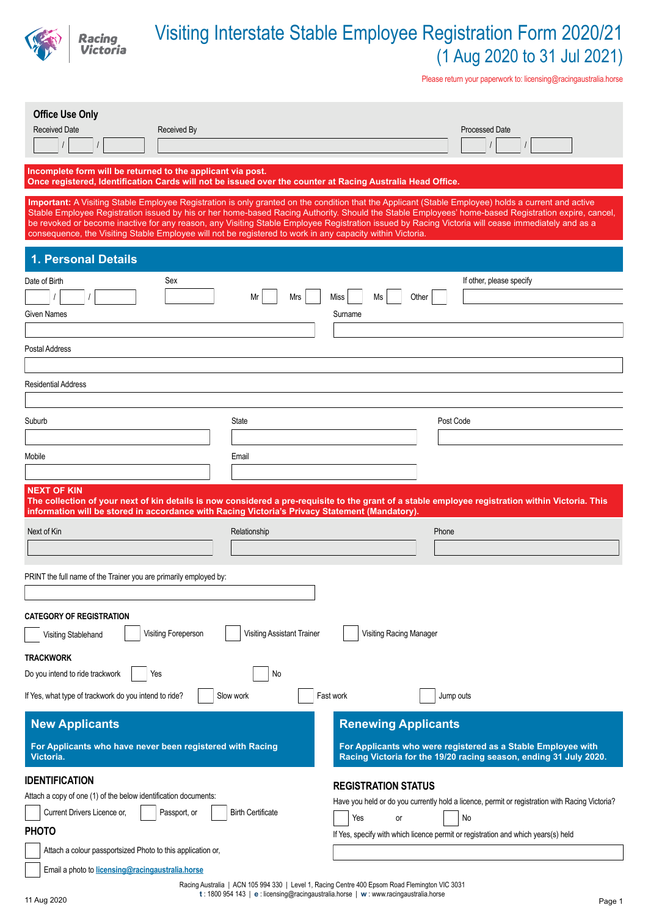

Please return your paperwork to: licensing@racingaustralia.horse

| <b>Office Use Only</b><br><b>Received Date</b><br>Received By                                                                                                             |                                   | <b>Processed Date</b>                                                                                                                                                                                                                                                                                                                                                                                                                                           |
|---------------------------------------------------------------------------------------------------------------------------------------------------------------------------|-----------------------------------|-----------------------------------------------------------------------------------------------------------------------------------------------------------------------------------------------------------------------------------------------------------------------------------------------------------------------------------------------------------------------------------------------------------------------------------------------------------------|
| Incomplete form will be returned to the applicant via post.<br>Once registered, Identification Cards will not be issued over the counter at Racing Australia Head Office. |                                   |                                                                                                                                                                                                                                                                                                                                                                                                                                                                 |
| consequence, the Visiting Stable Employee will not be registered to work in any capacity within Victoria.                                                                 |                                   | Important: A Visiting Stable Employee Registration is only granted on the condition that the Applicant (Stable Employee) holds a current and active<br>Stable Employee Registration issued by his or her home-based Racing Authority. Should the Stable Employees' home-based Registration expire, cancel,<br>be revoked or become inactive for any reason, any Visiting Stable Employee Registration issued by Racing Victoria will cease immediately and as a |
| 1. Personal Details                                                                                                                                                       |                                   |                                                                                                                                                                                                                                                                                                                                                                                                                                                                 |
| Sex<br>Date of Birth<br>Given Names<br>Postal Address                                                                                                                     | Mrs<br>Miss<br>Mr<br>Surname      | If other, please specify<br>Other<br>Ms                                                                                                                                                                                                                                                                                                                                                                                                                         |
| <b>Residential Address</b>                                                                                                                                                |                                   |                                                                                                                                                                                                                                                                                                                                                                                                                                                                 |
|                                                                                                                                                                           |                                   |                                                                                                                                                                                                                                                                                                                                                                                                                                                                 |
| Suburb                                                                                                                                                                    | State                             | Post Code                                                                                                                                                                                                                                                                                                                                                                                                                                                       |
| Mobile                                                                                                                                                                    | Email                             |                                                                                                                                                                                                                                                                                                                                                                                                                                                                 |
| <b>NEXT OF KIN</b>                                                                                                                                                        |                                   |                                                                                                                                                                                                                                                                                                                                                                                                                                                                 |
| information will be stored in accordance with Racing Victoria's Privacy Statement (Mandatory).                                                                            |                                   | The collection of your next of kin details is now considered a pre-requisite to the grant of a stable employee registration within Victoria. This                                                                                                                                                                                                                                                                                                               |
| Next of Kin                                                                                                                                                               | Relationship                      | Phone                                                                                                                                                                                                                                                                                                                                                                                                                                                           |
|                                                                                                                                                                           |                                   |                                                                                                                                                                                                                                                                                                                                                                                                                                                                 |
| PRINT the full name of the Trainer you are primarily employed by:                                                                                                         |                                   |                                                                                                                                                                                                                                                                                                                                                                                                                                                                 |
|                                                                                                                                                                           |                                   |                                                                                                                                                                                                                                                                                                                                                                                                                                                                 |
| <b>CATEGORY OF REGISTRATION</b><br>Visiting Foreperson<br>Visiting Stablehand                                                                                             | <b>Visiting Assistant Trainer</b> | Visiting Racing Manager                                                                                                                                                                                                                                                                                                                                                                                                                                         |
| <b>TRACKWORK</b>                                                                                                                                                          |                                   |                                                                                                                                                                                                                                                                                                                                                                                                                                                                 |
| Do you intend to ride trackwork<br>Yes<br>If Yes, what type of trackwork do you intend to ride?                                                                           | No<br>Slow work<br>Fast work      | Jump outs                                                                                                                                                                                                                                                                                                                                                                                                                                                       |
| <b>New Applicants</b>                                                                                                                                                     |                                   | <b>Renewing Applicants</b>                                                                                                                                                                                                                                                                                                                                                                                                                                      |
| For Applicants who have never been registered with Racing<br>Victoria.                                                                                                    |                                   | For Applicants who were registered as a Stable Employee with<br>Racing Victoria for the 19/20 racing season, ending 31 July 2020.                                                                                                                                                                                                                                                                                                                               |

Racing Australia | ACN 105 994 330 | Level 1, Racing Centre 400 Epsom Road Flemington VIC 3031 **t** : 1800 954 143 | **e** : licensing@racingaustralia.horse | **w** : www.racingaustralia.horse 11 Aug 2020 Page 1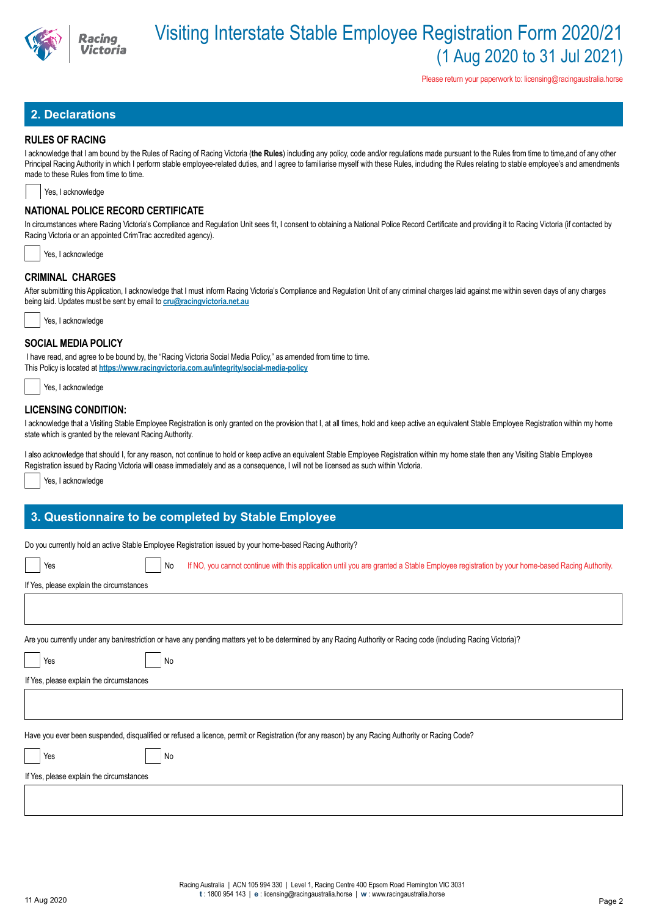

Please return your paperwork to: licensing@racingaustralia.horse

## **2. Declarations**

### **RULES OF RACING**

I acknowledge that I am bound by the Rules of Racing of Racing Victoria (**the Rules**) including any policy, code and/or regulations made pursuant to the Rules from time to time,and of any other Principal Racing Authority in which I perform stable employee-related duties, and I agree to familiarise myself with these Rules, including the Rules relating to stable employee's and amendments made to these Rules from time to time.

Yes, I acknowledge

## **NATIONAL POLICE RECORD CERTIFICATE**

In circumstances where Racing Victoria's Compliance and Regulation Unit sees fit, I consent to obtaining a National Police Record Certificate and providing it to Racing Victoria (if contacted by Racing Victoria or an appointed CrimTrac accredited agency).

|  | Yes, I acknowledge |
|--|--------------------|
|  |                    |

## **CRIMINAL CHARGES**

After submitting this Application, I acknowledge that I must inform Racing Victoria's Compliance and Regulation Unit of any criminal charges laid against me within seven days of any charges being laid. Updates must be sent by email to **cru@racingvictoria.net.au**



### **SOCIAL MEDIA POLICY**

 I have read, and agree to be bound by, the "Racing Victoria Social Media Policy," as amended from time to time. This Policy is located at **https://www.racingvictoria.com.au/integrity/social-media-policy**

Yes, I acknowledge

### **LICENSING CONDITION:**

I acknowledge that a Visiting Stable Employee Registration is only granted on the provision that I, at all times, hold and keep active an equivalent Stable Employee Registration within my home state which is granted by the relevant Racing Authority.

I also acknowledge that should I, for any reason, not continue to hold or keep active an equivalent Stable Employee Registration within my home state then any Visiting Stable Employee Registration issued by Racing Victoria will cease immediately and as a consequence, I will not be licensed as such within Victoria.

Yes, I acknowledge

## **3. Questionnaire to be completed by Stable Employee**

Do you currently hold an active Stable Employee Registration issued by your home-based Racing Authority?

| Yes                                                                                                                                                              | No | If NO, you cannot continue with this application until you are granted a Stable Employee registration by your home-based Racing Authority.       |  |  |  |  |  |
|------------------------------------------------------------------------------------------------------------------------------------------------------------------|----|--------------------------------------------------------------------------------------------------------------------------------------------------|--|--|--|--|--|
| If Yes, please explain the circumstances                                                                                                                         |    |                                                                                                                                                  |  |  |  |  |  |
|                                                                                                                                                                  |    |                                                                                                                                                  |  |  |  |  |  |
|                                                                                                                                                                  |    |                                                                                                                                                  |  |  |  |  |  |
| Are you currently under any ban/restriction or have any pending matters yet to be determined by any Racing Authority or Racing code (including Racing Victoria)? |    |                                                                                                                                                  |  |  |  |  |  |
| Yes                                                                                                                                                              | No |                                                                                                                                                  |  |  |  |  |  |
| If Yes, please explain the circumstances                                                                                                                         |    |                                                                                                                                                  |  |  |  |  |  |
|                                                                                                                                                                  |    |                                                                                                                                                  |  |  |  |  |  |
|                                                                                                                                                                  |    |                                                                                                                                                  |  |  |  |  |  |
|                                                                                                                                                                  |    | Have you ever been suspended, disqualified or refused a licence, permit or Registration (for any reason) by any Racing Authority or Racing Code? |  |  |  |  |  |
| Yes                                                                                                                                                              | No |                                                                                                                                                  |  |  |  |  |  |
| If Yes, please explain the circumstances                                                                                                                         |    |                                                                                                                                                  |  |  |  |  |  |
|                                                                                                                                                                  |    |                                                                                                                                                  |  |  |  |  |  |
|                                                                                                                                                                  |    |                                                                                                                                                  |  |  |  |  |  |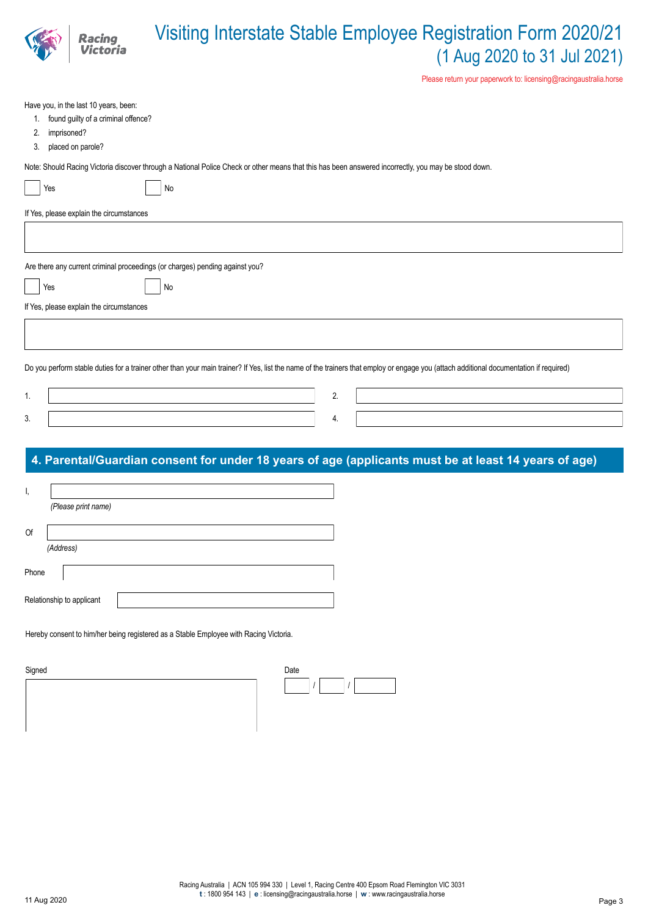|                               | Racing                                                                                            | Visiting Interstate Stable Employee Registration Form 2020/21<br>(1 Aug 2020 to 31 Jul 2021)<br>Please return your paperwork to: licensing@racingaustralia.horse                       |
|-------------------------------|---------------------------------------------------------------------------------------------------|----------------------------------------------------------------------------------------------------------------------------------------------------------------------------------------|
| 1.<br>imprisoned?<br>2.<br>3. | Have you, in the last 10 years, been:<br>found guilty of a criminal offence?<br>placed on parole? |                                                                                                                                                                                        |
| Yes                           |                                                                                                   | Note: Should Racing Victoria discover through a National Police Check or other means that this has been answered incorrectly, you may be stood down.<br>No                             |
|                               | If Yes, please explain the circumstances                                                          |                                                                                                                                                                                        |
|                               |                                                                                                   |                                                                                                                                                                                        |
| Yes                           |                                                                                                   | Are there any current criminal proceedings (or charges) pending against you?<br>No                                                                                                     |
|                               | If Yes, please explain the circumstances                                                          |                                                                                                                                                                                        |
|                               |                                                                                                   |                                                                                                                                                                                        |
|                               |                                                                                                   | Do you perform stable duties for a trainer other than your main trainer? If Yes, list the name of the trainers that employ or engage you (attach additional documentation if required) |
| 1.                            |                                                                                                   | 2.                                                                                                                                                                                     |
| 3.                            |                                                                                                   | 4.                                                                                                                                                                                     |
|                               |                                                                                                   | 4. Parental/Guardian consent for under 18 years of age (applicants must be at least 14 years of age)                                                                                   |
|                               | (Please print name)                                                                               |                                                                                                                                                                                        |
| Of                            |                                                                                                   |                                                                                                                                                                                        |
| (Address)                     |                                                                                                   |                                                                                                                                                                                        |
| Phone                         |                                                                                                   |                                                                                                                                                                                        |
| Relationship to applicant     |                                                                                                   |                                                                                                                                                                                        |

Hereby consent to him/her being registered as a Stable Employee with Racing Victoria.

| Signed | Date |  |  |
|--------|------|--|--|
|        |      |  |  |
|        |      |  |  |